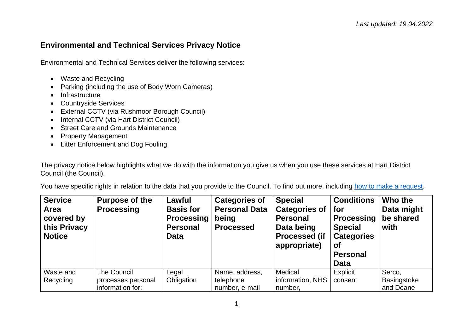## **Environmental and Technical Services Privacy Notice**

Environmental and Technical Services deliver the following services:

- Waste and Recycling
- Parking (including the use of Body Worn Cameras)
- Infrastructure
- Countryside Services
- External CCTV (via Rushmoor Borough Council)
- Internal CCTV (via Hart District Council)
- Street Care and Grounds Maintenance
- Property Management
- Litter Enforcement and Dog Fouling

The privacy notice below highlights what we do with the information you give us when you use these services at Hart District Council (the Council).

You have specific rights in relation to the data that you provide to the Council. To find out more, including [how to make a request.](https://www.hart.gov.uk/right-to-know)

| <b>Service</b><br>Area<br>covered by<br>this Privacy<br><b>Notice</b> | <b>Purpose of the</b><br><b>Processing</b>            | Lawful<br><b>Basis for</b><br><b>Processing</b><br><b>Personal</b><br><b>Data</b> | <b>Categories of</b><br><b>Personal Data</b><br>being<br><b>Processed</b> | <b>Special</b><br><b>Categories of</b><br><b>Personal</b><br>Data being<br><b>Processed (if</b><br>appropriate) | <b>Conditions</b><br>for<br><b>Processing</b><br><b>Special</b><br><b>Categories</b><br><b>of</b><br><b>Personal</b><br><b>Data</b> | Who the<br>Data might<br>be shared<br>with |
|-----------------------------------------------------------------------|-------------------------------------------------------|-----------------------------------------------------------------------------------|---------------------------------------------------------------------------|-----------------------------------------------------------------------------------------------------------------|-------------------------------------------------------------------------------------------------------------------------------------|--------------------------------------------|
| Waste and<br>Recycling                                                | The Council<br>processes personal<br>information for: | Legal<br>Obligation                                                               | Name, address,<br>telephone<br>number, e-mail                             | Medical<br>information, NHS<br>number,                                                                          | Explicit<br>consent                                                                                                                 | Serco,<br>Basingstoke<br>and Deane         |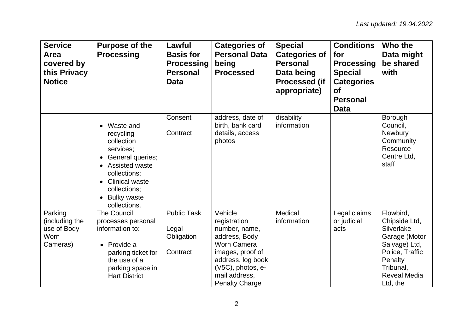| <b>Service</b><br><b>Area</b><br>covered by<br>this Privacy<br><b>Notice</b> | <b>Purpose of the</b><br><b>Processing</b>                                                                                                                                                                                    | Lawful<br><b>Basis for</b><br><b>Processing</b><br><b>Personal</b><br>Data | <b>Categories of</b><br><b>Personal Data</b><br>being<br><b>Processed</b>                                                                                                               | <b>Special</b><br><b>Categories of</b><br><b>Personal</b><br>Data being<br><b>Processed (if</b><br>appropriate) | <b>Conditions</b><br>for<br><b>Processing</b><br><b>Special</b><br><b>Categories</b><br><b>of</b><br><b>Personal</b><br><b>Data</b> | Who the<br>Data might<br>be shared<br>with                                                                                                               |
|------------------------------------------------------------------------------|-------------------------------------------------------------------------------------------------------------------------------------------------------------------------------------------------------------------------------|----------------------------------------------------------------------------|-----------------------------------------------------------------------------------------------------------------------------------------------------------------------------------------|-----------------------------------------------------------------------------------------------------------------|-------------------------------------------------------------------------------------------------------------------------------------|----------------------------------------------------------------------------------------------------------------------------------------------------------|
|                                                                              | Waste and<br>recycling<br>collection<br>services;<br>General queries;<br>$\bullet$<br>Assisted waste<br>collections;<br><b>Clinical waste</b><br>$\bullet$<br>collections;<br><b>Bulky waste</b><br>$\bullet$<br>collections. | Consent<br>Contract                                                        | address, date of<br>birth, bank card<br>details, access<br>photos                                                                                                                       | disability<br>information                                                                                       |                                                                                                                                     | Borough<br>Council,<br>Newbury<br>Community<br>Resource<br>Centre Ltd,<br>staff                                                                          |
| Parking<br>(including the<br>use of Body<br>Worn<br>Cameras)                 | <b>The Council</b><br>processes personal<br>information to:<br>Provide a<br>parking ticket for<br>the use of a<br>parking space in<br><b>Hart District</b>                                                                    | <b>Public Task</b><br>Legal<br>Obligation<br>Contract                      | Vehicle<br>registration<br>number, name,<br>address, Body<br><b>Worn Camera</b><br>images, proof of<br>address, log book<br>(V5C), photos, e-<br>mail address,<br><b>Penalty Charge</b> | Medical<br>information                                                                                          | Legal claims<br>or judicial<br>acts                                                                                                 | Flowbird,<br>Chipside Ltd,<br>Silverlake<br>Garage (Motor<br>Salvage) Ltd,<br>Police, Traffic<br>Penalty<br>Tribunal,<br><b>Reveal Media</b><br>Ltd, the |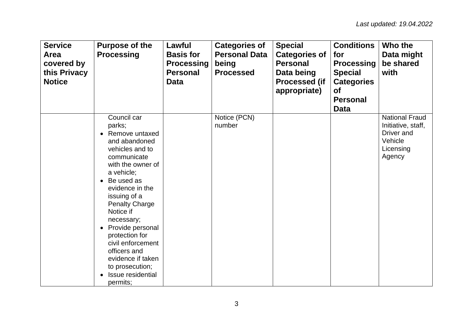| <b>Service</b><br>Area<br>covered by<br>this Privacy<br><b>Notice</b> | <b>Purpose of the</b><br><b>Processing</b>                                                                                                                                                                                                                                                                                                                                             | Lawful<br><b>Basis for</b><br><b>Processing</b><br><b>Personal</b><br><b>Data</b> | <b>Categories of</b><br><b>Personal Data</b><br>being<br><b>Processed</b> | <b>Special</b><br><b>Categories of</b><br><b>Personal</b><br>Data being<br><b>Processed (if</b><br>appropriate) | <b>Conditions</b><br>for<br><b>Processing</b><br><b>Special</b><br><b>Categories</b><br><b>of</b><br><b>Personal</b><br><b>Data</b> | Who the<br>Data might<br>be shared<br>with                                                  |
|-----------------------------------------------------------------------|----------------------------------------------------------------------------------------------------------------------------------------------------------------------------------------------------------------------------------------------------------------------------------------------------------------------------------------------------------------------------------------|-----------------------------------------------------------------------------------|---------------------------------------------------------------------------|-----------------------------------------------------------------------------------------------------------------|-------------------------------------------------------------------------------------------------------------------------------------|---------------------------------------------------------------------------------------------|
|                                                                       | Council car<br>parks;<br>Remove untaxed<br>and abandoned<br>vehicles and to<br>communicate<br>with the owner of<br>a vehicle;<br>Be used as<br>evidence in the<br>issuing of a<br><b>Penalty Charge</b><br>Notice if<br>necessary;<br>Provide personal<br>protection for<br>civil enforcement<br>officers and<br>evidence if taken<br>to prosecution;<br>Issue residential<br>permits; |                                                                                   | Notice (PCN)<br>number                                                    |                                                                                                                 |                                                                                                                                     | <b>National Fraud</b><br>Initiative, staff,<br>Driver and<br>Vehicle<br>Licensing<br>Agency |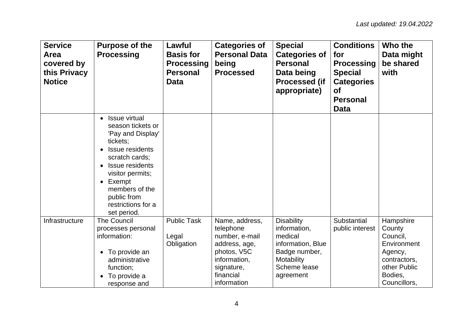| <b>Service</b><br>Area<br>covered by<br>this Privacy<br><b>Notice</b> | <b>Purpose of the</b><br><b>Processing</b>                                                                                                                                                                                                    | Lawful<br><b>Basis for</b><br><b>Processing</b><br><b>Personal</b><br><b>Data</b> | <b>Categories of</b><br><b>Personal Data</b><br>being<br><b>Processed</b>                                                               | <b>Special</b><br><b>Categories of</b><br><b>Personal</b><br>Data being<br><b>Processed (if</b><br>appropriate)               | <b>Conditions</b><br>for<br><b>Processing</b><br><b>Special</b><br><b>Categories</b><br><b>of</b><br><b>Personal</b><br><b>Data</b> | Who the<br>Data might<br>be shared<br>with                                                                           |
|-----------------------------------------------------------------------|-----------------------------------------------------------------------------------------------------------------------------------------------------------------------------------------------------------------------------------------------|-----------------------------------------------------------------------------------|-----------------------------------------------------------------------------------------------------------------------------------------|-------------------------------------------------------------------------------------------------------------------------------|-------------------------------------------------------------------------------------------------------------------------------------|----------------------------------------------------------------------------------------------------------------------|
|                                                                       | <b>Issue virtual</b><br>season tickets or<br>'Pay and Display'<br>tickets;<br>Issue residents<br>scratch cards;<br><b>Issue residents</b><br>visitor permits;<br>Exempt<br>members of the<br>public from<br>restrictions for a<br>set period. |                                                                                   |                                                                                                                                         |                                                                                                                               |                                                                                                                                     |                                                                                                                      |
| Infrastructure                                                        | <b>The Council</b><br>processes personal<br>information:<br>To provide an<br>$\bullet$<br>administrative<br>function;<br>To provide a<br>response and                                                                                         | <b>Public Task</b><br>Legal<br>Obligation                                         | Name, address,<br>telephone<br>number, e-mail<br>address, age,<br>photos, V5C<br>information,<br>signature,<br>financial<br>information | <b>Disability</b><br>information,<br>medical<br>information, Blue<br>Badge number,<br>Motability<br>Scheme lease<br>agreement | Substantial<br>public interest                                                                                                      | Hampshire<br>County<br>Council,<br>Environment<br>Agency,<br>contractors,<br>other Public<br>Bodies,<br>Councillors, |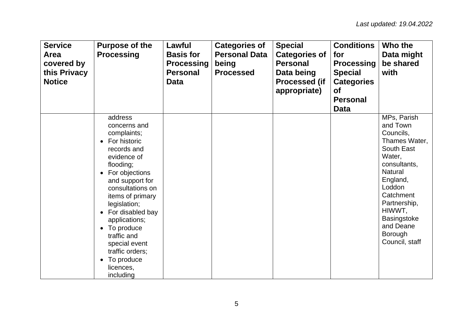| <b>Service</b><br>Area<br>covered by<br>this Privacy<br><b>Notice</b> | <b>Purpose of the</b><br><b>Processing</b>                                                                                                                                                                                                                                                                                                   | Lawful<br><b>Basis for</b><br><b>Processing</b><br><b>Personal</b><br>Data | <b>Categories of</b><br><b>Personal Data</b><br>being<br><b>Processed</b> | <b>Special</b><br><b>Categories of</b><br><b>Personal</b><br>Data being<br><b>Processed (if</b><br>appropriate) | <b>Conditions</b><br>for<br><b>Processing</b><br><b>Special</b><br><b>Categories</b><br><b>of</b><br><b>Personal</b><br><b>Data</b> | Who the<br>Data might<br>be shared<br>with                                                                                                                                                                                                          |
|-----------------------------------------------------------------------|----------------------------------------------------------------------------------------------------------------------------------------------------------------------------------------------------------------------------------------------------------------------------------------------------------------------------------------------|----------------------------------------------------------------------------|---------------------------------------------------------------------------|-----------------------------------------------------------------------------------------------------------------|-------------------------------------------------------------------------------------------------------------------------------------|-----------------------------------------------------------------------------------------------------------------------------------------------------------------------------------------------------------------------------------------------------|
|                                                                       | address<br>concerns and<br>complaints;<br>For historic<br>records and<br>evidence of<br>flooding;<br>For objections<br>and support for<br>consultations on<br>items of primary<br>legislation;<br>For disabled bay<br>applications;<br>To produce<br>traffic and<br>special event<br>traffic orders;<br>To produce<br>licences,<br>including |                                                                            |                                                                           |                                                                                                                 |                                                                                                                                     | MPs, Parish<br>and Town<br>Councils,<br>Thames Water,<br>South East<br>Water,<br>consultants,<br><b>Natural</b><br>England,<br>Loddon<br>Catchment<br>Partnership,<br>HIWWT,<br><b>Basingstoke</b><br>and Deane<br><b>Borough</b><br>Council, staff |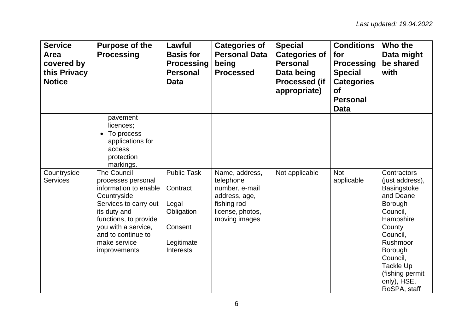| <b>Service</b><br>Area<br>covered by<br>this Privacy<br><b>Notice</b> | <b>Purpose of the</b><br><b>Processing</b>                                                                                                                                                                                      | Lawful<br><b>Basis for</b><br><b>Processing</b><br><b>Personal</b><br>Data                         | <b>Categories of</b><br><b>Personal Data</b><br>being<br><b>Processed</b>                                          | <b>Special</b><br><b>Categories of</b><br><b>Personal</b><br>Data being<br><b>Processed (if</b><br>appropriate) | <b>Conditions</b><br>for<br><b>Processing</b><br><b>Special</b><br><b>Categories</b><br><b>of</b><br><b>Personal</b><br><b>Data</b> | Who the<br>Data might<br>be shared<br>with                                                                                                                                                                             |
|-----------------------------------------------------------------------|---------------------------------------------------------------------------------------------------------------------------------------------------------------------------------------------------------------------------------|----------------------------------------------------------------------------------------------------|--------------------------------------------------------------------------------------------------------------------|-----------------------------------------------------------------------------------------------------------------|-------------------------------------------------------------------------------------------------------------------------------------|------------------------------------------------------------------------------------------------------------------------------------------------------------------------------------------------------------------------|
|                                                                       | pavement<br>licences;<br>To process<br>applications for<br>access<br>protection<br>markings.                                                                                                                                    |                                                                                                    |                                                                                                                    |                                                                                                                 |                                                                                                                                     |                                                                                                                                                                                                                        |
| Countryside<br><b>Services</b>                                        | <b>The Council</b><br>processes personal<br>information to enable<br>Countryside<br>Services to carry out<br>its duty and<br>functions, to provide<br>you with a service,<br>and to continue to<br>make service<br>improvements | <b>Public Task</b><br>Contract<br>Legal<br>Obligation<br>Consent<br>Legitimate<br><b>Interests</b> | Name, address,<br>telephone<br>number, e-mail<br>address, age,<br>fishing rod<br>license, photos,<br>moving images | Not applicable                                                                                                  | <b>Not</b><br>applicable                                                                                                            | Contractors<br>(just address),<br>Basingstoke<br>and Deane<br>Borough<br>Council,<br>Hampshire<br>County<br>Council,<br>Rushmoor<br>Borough<br>Council,<br>Tackle Up<br>(fishing permit<br>only), HSE,<br>RoSPA, staff |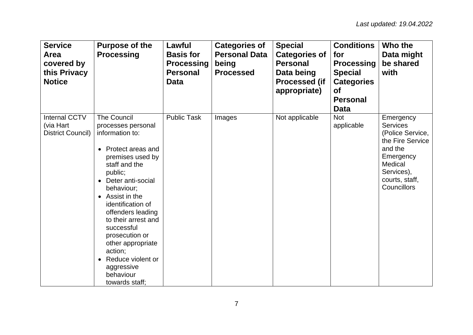| <b>Service</b><br>Area<br>covered by<br>this Privacy<br><b>Notice</b> | <b>Purpose of the</b><br><b>Processing</b>                                                                                                                                                                                                                                                                                                                                                                                                  | Lawful<br><b>Basis for</b><br><b>Processing</b><br><b>Personal</b><br><b>Data</b> | <b>Categories of</b><br><b>Personal Data</b><br>being<br><b>Processed</b> | <b>Special</b><br><b>Categories of</b><br><b>Personal</b><br>Data being<br><b>Processed (if</b><br>appropriate) | <b>Conditions</b><br>for<br><b>Processing</b><br><b>Special</b><br><b>Categories</b><br><b>of</b><br><b>Personal</b><br><b>Data</b> | Who the<br>Data might<br>be shared<br>with                                                                                                             |
|-----------------------------------------------------------------------|---------------------------------------------------------------------------------------------------------------------------------------------------------------------------------------------------------------------------------------------------------------------------------------------------------------------------------------------------------------------------------------------------------------------------------------------|-----------------------------------------------------------------------------------|---------------------------------------------------------------------------|-----------------------------------------------------------------------------------------------------------------|-------------------------------------------------------------------------------------------------------------------------------------|--------------------------------------------------------------------------------------------------------------------------------------------------------|
| <b>Internal CCTV</b><br>(via Hart<br><b>District Council)</b>         | <b>The Council</b><br>processes personal<br>information to:<br>Protect areas and<br>$\bullet$<br>premises used by<br>staff and the<br>public;<br>Deter anti-social<br>$\bullet$<br>behaviour;<br>Assist in the<br>$\bullet$<br>identification of<br>offenders leading<br>to their arrest and<br>successful<br>prosecution or<br>other appropriate<br>action;<br>Reduce violent or<br>$\bullet$<br>aggressive<br>behaviour<br>towards staff; | <b>Public Task</b>                                                                | Images                                                                    | Not applicable                                                                                                  | <b>Not</b><br>applicable                                                                                                            | Emergency<br><b>Services</b><br>(Police Service,<br>the Fire Service<br>and the<br>Emergency<br>Medical<br>Services),<br>courts, staff,<br>Councillors |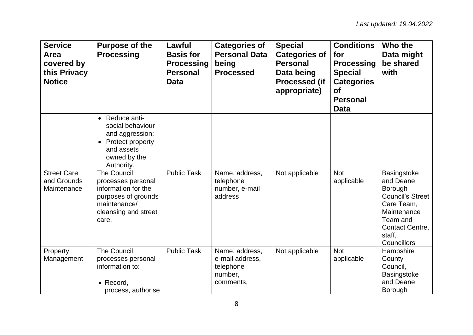| <b>Service</b><br>Area<br>covered by<br>this Privacy<br><b>Notice</b> | <b>Purpose of the</b><br><b>Processing</b>                                                                                                           | Lawful<br><b>Basis for</b><br><b>Processing</b><br><b>Personal</b><br>Data | <b>Categories of</b><br><b>Personal Data</b><br>being<br><b>Processed</b> | <b>Special</b><br><b>Categories of</b><br><b>Personal</b><br>Data being<br><b>Processed (if</b><br>appropriate) | <b>Conditions</b><br>for<br><b>Processing</b><br><b>Special</b><br><b>Categories</b><br><b>of</b><br><b>Personal</b><br><b>Data</b> | Who the<br>Data might<br>be shared<br>with                                                                                                          |
|-----------------------------------------------------------------------|------------------------------------------------------------------------------------------------------------------------------------------------------|----------------------------------------------------------------------------|---------------------------------------------------------------------------|-----------------------------------------------------------------------------------------------------------------|-------------------------------------------------------------------------------------------------------------------------------------|-----------------------------------------------------------------------------------------------------------------------------------------------------|
|                                                                       | Reduce anti-<br>$\bullet$<br>social behaviour<br>and aggression;<br><b>Protect property</b><br>$\bullet$<br>and assets<br>owned by the<br>Authority. |                                                                            |                                                                           |                                                                                                                 |                                                                                                                                     |                                                                                                                                                     |
| <b>Street Care</b><br>and Grounds<br>Maintenance                      | <b>The Council</b><br>processes personal<br>information for the<br>purposes of grounds<br>maintenance/<br>cleansing and street<br>care.              | <b>Public Task</b>                                                         | Name, address,<br>telephone<br>number, e-mail<br>address                  | Not applicable                                                                                                  | <b>Not</b><br>applicable                                                                                                            | Basingstoke<br>and Deane<br>Borough<br><b>Council's Street</b><br>Care Team,<br>Maintenance<br>Team and<br>Contact Centre,<br>staff,<br>Councillors |
| Property<br>Management                                                | <b>The Council</b><br>processes personal<br>information to:<br>$\bullet$ Record,<br>process, authorise                                               | <b>Public Task</b>                                                         | Name, address,<br>e-mail address,<br>telephone<br>number,<br>comments,    | Not applicable                                                                                                  | <b>Not</b><br>applicable                                                                                                            | Hampshire<br>County<br>Council,<br>Basingstoke<br>and Deane<br><b>Borough</b>                                                                       |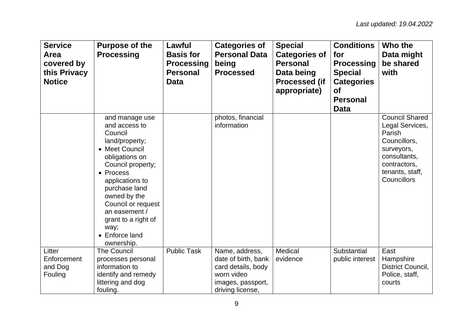| <b>Service</b><br>Area<br>covered by<br>this Privacy<br><b>Notice</b> | <b>Purpose of the</b><br><b>Processing</b>                                                                                                                                                                                                                                                   | Lawful<br><b>Basis for</b><br><b>Processing</b><br><b>Personal</b><br>Data | <b>Categories of</b><br><b>Personal Data</b><br>being<br><b>Processed</b>                                          | <b>Special</b><br><b>Categories of</b><br><b>Personal</b><br>Data being<br><b>Processed (if</b><br>appropriate) | <b>Conditions</b><br>for<br><b>Processing</b><br><b>Special</b><br><b>Categories</b><br><b>of</b><br><b>Personal</b><br><b>Data</b> | Who the<br>Data might<br>be shared<br>with                                                                                                         |
|-----------------------------------------------------------------------|----------------------------------------------------------------------------------------------------------------------------------------------------------------------------------------------------------------------------------------------------------------------------------------------|----------------------------------------------------------------------------|--------------------------------------------------------------------------------------------------------------------|-----------------------------------------------------------------------------------------------------------------|-------------------------------------------------------------------------------------------------------------------------------------|----------------------------------------------------------------------------------------------------------------------------------------------------|
|                                                                       | and manage use<br>and access to<br>Council<br>land/property;<br>• Meet Council<br>obligations on<br>Council property;<br>• Process<br>applications to<br>purchase land<br>owned by the<br>Council or request<br>an easement /<br>grant to a right of<br>way;<br>• Enforce land<br>ownership. |                                                                            | photos, financial<br>information                                                                                   |                                                                                                                 |                                                                                                                                     | <b>Council Shared</b><br>Legal Services,<br>Parish<br>Councillors,<br>surveyors,<br>consultants,<br>contractors,<br>tenants, staff,<br>Councillors |
| Litter<br>Enforcement<br>and Dog<br>Fouling                           | <b>The Council</b><br>processes personal<br>information to<br>identify and remedy<br>littering and dog<br>fouling.                                                                                                                                                                           | <b>Public Task</b>                                                         | Name, address,<br>date of birth, bank<br>card details, body<br>worn video<br>images, passport,<br>driving license, | Medical<br>evidence                                                                                             | Substantial<br>public interest                                                                                                      | East<br>Hampshire<br>District Council,<br>Police, staff,<br>courts                                                                                 |